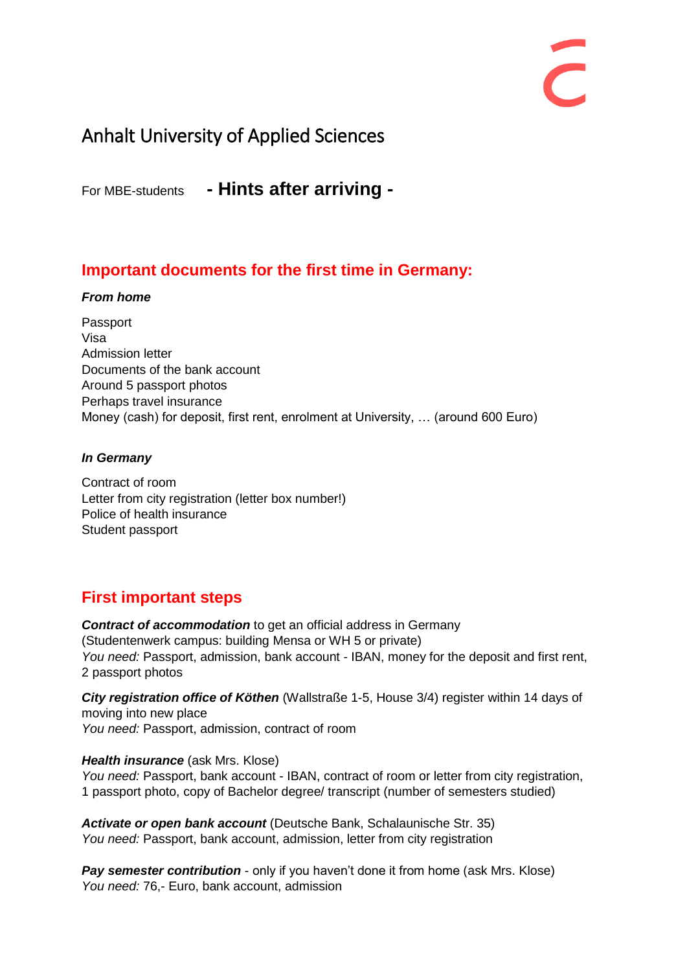# Anhalt University of Applied Sciences

For MBE-students **- Hints after arriving -**

# **Important documents for the first time in Germany:**

### *From home*

Passport Visa Admission letter Documents of the bank account Around 5 passport photos Perhaps travel insurance Money (cash) for deposit, first rent, enrolment at University, … (around 600 Euro)

#### *In Germany*

Contract of room Letter from city registration (letter box number!) Police of health insurance Student passport

# **First important steps**

*Contract of accommodation* to get an official address in Germany (Studentenwerk campus: building Mensa or WH 5 or private) *You need:* Passport, admission, bank account - IBAN, money for the deposit and first rent, 2 passport photos

*City registration office of Köthen* (Wallstraße 1-5, House 3/4) register within 14 days of moving into new place *You need:* Passport, admission, contract of room

### *Health insurance* (ask Mrs. Klose)

*You need:* Passport, bank account - IBAN, contract of room or letter from city registration, 1 passport photo, copy of Bachelor degree/ transcript (number of semesters studied)

*Activate or open bank account* (Deutsche Bank, Schalaunische Str. 35) *You need:* Passport, bank account, admission, letter from city registration

**Pay semester contribution** - only if you haven't done it from home (ask Mrs. Klose) *You need:* 76,- Euro, bank account, admission